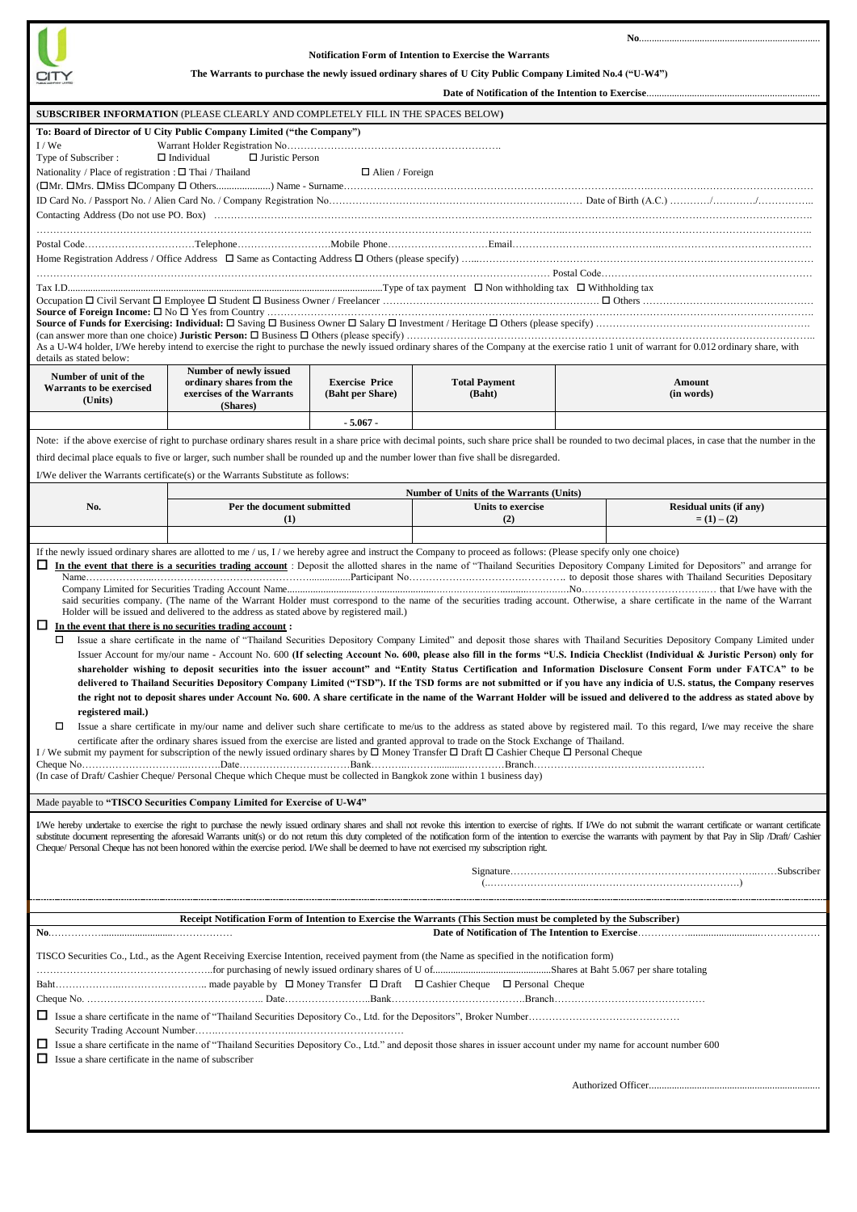

## **Notification Form of Intention to Exercise the Warrants**

 **No**........................................................................

**The Warrants to purchase the newly issued ordinary shares of U City Public Company Limited No.4 ("U-W4")**

| SUBSCRIBER INFORMATION (PLEASE CLEARLY AND COMPLETELY FILL IN THE SPACES BELOW)                                                                                                                                                                                                                                                                                                                                                                                                                                                                                                                                                                                                                                                                                                                                                                                                                                                                                                                                                                                                                                                                                                                                                                                                                                                                                                                                                                                                                                                                                                                                                                                                                                                                                                                                                                                                                                                                                                                                                                                                                                                                                                                                                                                                                                                                                                                                                                                                                                                                                                         |                                           |                                |                                                                                                                                                                                                                                                                                                                                                                                                                             |  |  |
|-----------------------------------------------------------------------------------------------------------------------------------------------------------------------------------------------------------------------------------------------------------------------------------------------------------------------------------------------------------------------------------------------------------------------------------------------------------------------------------------------------------------------------------------------------------------------------------------------------------------------------------------------------------------------------------------------------------------------------------------------------------------------------------------------------------------------------------------------------------------------------------------------------------------------------------------------------------------------------------------------------------------------------------------------------------------------------------------------------------------------------------------------------------------------------------------------------------------------------------------------------------------------------------------------------------------------------------------------------------------------------------------------------------------------------------------------------------------------------------------------------------------------------------------------------------------------------------------------------------------------------------------------------------------------------------------------------------------------------------------------------------------------------------------------------------------------------------------------------------------------------------------------------------------------------------------------------------------------------------------------------------------------------------------------------------------------------------------------------------------------------------------------------------------------------------------------------------------------------------------------------------------------------------------------------------------------------------------------------------------------------------------------------------------------------------------------------------------------------------------------------------------------------------------------------------------------------------------|-------------------------------------------|--------------------------------|-----------------------------------------------------------------------------------------------------------------------------------------------------------------------------------------------------------------------------------------------------------------------------------------------------------------------------------------------------------------------------------------------------------------------------|--|--|
| To: Board of Director of U City Public Company Limited ("the Company")                                                                                                                                                                                                                                                                                                                                                                                                                                                                                                                                                                                                                                                                                                                                                                                                                                                                                                                                                                                                                                                                                                                                                                                                                                                                                                                                                                                                                                                                                                                                                                                                                                                                                                                                                                                                                                                                                                                                                                                                                                                                                                                                                                                                                                                                                                                                                                                                                                                                                                                  |                                           |                                |                                                                                                                                                                                                                                                                                                                                                                                                                             |  |  |
| I/We<br>Type of Subscriber:<br>$\Box$ Individual<br>$\Box$ Juristic Person<br>Nationality / Place of registration : $\Box$ Thai / Thailand<br>$\Box$ Alien / Foreign                                                                                                                                                                                                                                                                                                                                                                                                                                                                                                                                                                                                                                                                                                                                                                                                                                                                                                                                                                                                                                                                                                                                                                                                                                                                                                                                                                                                                                                                                                                                                                                                                                                                                                                                                                                                                                                                                                                                                                                                                                                                                                                                                                                                                                                                                                                                                                                                                    |                                           |                                |                                                                                                                                                                                                                                                                                                                                                                                                                             |  |  |
|                                                                                                                                                                                                                                                                                                                                                                                                                                                                                                                                                                                                                                                                                                                                                                                                                                                                                                                                                                                                                                                                                                                                                                                                                                                                                                                                                                                                                                                                                                                                                                                                                                                                                                                                                                                                                                                                                                                                                                                                                                                                                                                                                                                                                                                                                                                                                                                                                                                                                                                                                                                         |                                           |                                |                                                                                                                                                                                                                                                                                                                                                                                                                             |  |  |
| As a U-W4 holder, I/We hereby intend to exercise the right to purchase the newly issued ordinary shares of the Company at the exercise ratio 1 unit of warrant for 0.012 ordinary share, with<br>details as stated below:                                                                                                                                                                                                                                                                                                                                                                                                                                                                                                                                                                                                                                                                                                                                                                                                                                                                                                                                                                                                                                                                                                                                                                                                                                                                                                                                                                                                                                                                                                                                                                                                                                                                                                                                                                                                                                                                                                                                                                                                                                                                                                                                                                                                                                                                                                                                                               |                                           |                                |                                                                                                                                                                                                                                                                                                                                                                                                                             |  |  |
| ordinary shares from the<br>exercises of the Warrants<br>(Shares)                                                                                                                                                                                                                                                                                                                                                                                                                                                                                                                                                                                                                                                                                                                                                                                                                                                                                                                                                                                                                                                                                                                                                                                                                                                                                                                                                                                                                                                                                                                                                                                                                                                                                                                                                                                                                                                                                                                                                                                                                                                                                                                                                                                                                                                                                                                                                                                                                                                                                                                       | <b>Exercise Price</b><br>(Baht per Share) | <b>Total Payment</b><br>(Baht) | Amount<br>(in words)                                                                                                                                                                                                                                                                                                                                                                                                        |  |  |
| $-5.067 -$<br>Note: if the above exercise of right to purchase ordinary shares result in a share price with decimal points, such share price shall be rounded to two decimal places, in case that the number in the<br>third decimal place equals to five or larger, such number shall be rounded up and the number lower than five shall be disregarded.<br>I/We deliver the Warrants certificate(s) or the Warrants Substitute as follows:                                                                                                                                                                                                                                                                                                                                                                                                                                                                                                                                                                                                                                                                                                                                                                                                                                                                                                                                                                                                                                                                                                                                                                                                                                                                                                                                                                                                                                                                                                                                                                                                                                                                                                                                                                                                                                                                                                                                                                                                                                                                                                                                            |                                           |                                |                                                                                                                                                                                                                                                                                                                                                                                                                             |  |  |
|                                                                                                                                                                                                                                                                                                                                                                                                                                                                                                                                                                                                                                                                                                                                                                                                                                                                                                                                                                                                                                                                                                                                                                                                                                                                                                                                                                                                                                                                                                                                                                                                                                                                                                                                                                                                                                                                                                                                                                                                                                                                                                                                                                                                                                                                                                                                                                                                                                                                                                                                                                                         |                                           |                                | Residual units (if any)                                                                                                                                                                                                                                                                                                                                                                                                     |  |  |
| (1)                                                                                                                                                                                                                                                                                                                                                                                                                                                                                                                                                                                                                                                                                                                                                                                                                                                                                                                                                                                                                                                                                                                                                                                                                                                                                                                                                                                                                                                                                                                                                                                                                                                                                                                                                                                                                                                                                                                                                                                                                                                                                                                                                                                                                                                                                                                                                                                                                                                                                                                                                                                     |                                           | (2)                            | $= (1) - (2)$                                                                                                                                                                                                                                                                                                                                                                                                               |  |  |
|                                                                                                                                                                                                                                                                                                                                                                                                                                                                                                                                                                                                                                                                                                                                                                                                                                                                                                                                                                                                                                                                                                                                                                                                                                                                                                                                                                                                                                                                                                                                                                                                                                                                                                                                                                                                                                                                                                                                                                                                                                                                                                                                                                                                                                                                                                                                                                                                                                                                                                                                                                                         |                                           |                                |                                                                                                                                                                                                                                                                                                                                                                                                                             |  |  |
| said securities company. (The name of the Warrant Holder must correspond to the name of the securities trading account. Otherwise, a share certificate in the name of the Warrant<br>Holder will be issued and delivered to the address as stated above by registered mail.)<br>$\Box$ In the event that there is no securities trading account:<br>Issue a share certificate in the name of "Thailand Securities Depository Company Limited" and deposit those shares with Thailand Securities Depository Company Limited under<br>Issuer Account for my/our name - Account No. 600 (If selecting Account No. 600, please also fill in the forms "U.S. Indicia Checklist (Individual & Juristic Person) only for<br>shareholder wishing to deposit securities into the issuer account" and "Entity Status Certification and Information Disclosure Consent Form under FATCA" to be<br>delivered to Thailand Securities Depository Company Limited ("TSD"). If the TSD forms are not submitted or if you have any indicia of U.S. status, the Company reserves<br>the right not to deposit shares under Account No. 600. A share certificate in the name of the Warrant Holder will be issued and delivered to the address as stated above by<br>registered mail.)<br>Issue a share certificate in my/our name and deliver such share certificate to me/us to the address as stated above by registered mail. To this regard, I/we may receive the share<br>certificate after the ordinary shares issued from the exercise are listed and granted approval to trade on the Stock Exchange of Thailand.<br>I / We submit my payment for subscription of the newly issued ordinary shares by $\Box$ Money Transfer $\Box$ Draft $\Box$ Cashier Cheque $\Box$ Personal Cheque<br>(In case of Draft/ Cashier Cheque/ Personal Cheque which Cheque must be collected in Bangkok zone within 1 business day)<br>Made payable to "TISCO Securities Company Limited for Exercise of U-W4"<br>I/We hereby undertake to exercise the right to purchase the newly issued ordinary shares and shall not revoke this intention to exercise of rights. If I/We do not submit the warrant certificate or warrant certificate<br>substitute document representing the aforesaid Warrants unit(s) or do not return this duty completed of the notification form of the intention to exercise the warrants with payment by that Pay in Slip /Draft/ Cashier<br>Cheque/ Personal Cheque has not been honored within the exercise period. I/We shall be deemed to have not exercised my subscription right. |                                           |                                |                                                                                                                                                                                                                                                                                                                                                                                                                             |  |  |
|                                                                                                                                                                                                                                                                                                                                                                                                                                                                                                                                                                                                                                                                                                                                                                                                                                                                                                                                                                                                                                                                                                                                                                                                                                                                                                                                                                                                                                                                                                                                                                                                                                                                                                                                                                                                                                                                                                                                                                                                                                                                                                                                                                                                                                                                                                                                                                                                                                                                                                                                                                                         |                                           |                                |                                                                                                                                                                                                                                                                                                                                                                                                                             |  |  |
| Receipt Notification Form of Intention to Exercise the Warrants (This Section must be completed by the Subscriber)                                                                                                                                                                                                                                                                                                                                                                                                                                                                                                                                                                                                                                                                                                                                                                                                                                                                                                                                                                                                                                                                                                                                                                                                                                                                                                                                                                                                                                                                                                                                                                                                                                                                                                                                                                                                                                                                                                                                                                                                                                                                                                                                                                                                                                                                                                                                                                                                                                                                      |                                           |                                |                                                                                                                                                                                                                                                                                                                                                                                                                             |  |  |
| TISCO Securities Co., Ltd., as the Agent Receiving Exercise Intention, received payment from (the Name as specified in the notification form)<br>□<br>Issue a share certificate in the name of "Thailand Securities Depository Co., Ltd." and deposit those shares in issuer account under my name for account number 600<br>$\Box$ Issue a share certificate in the name of subscriber                                                                                                                                                                                                                                                                                                                                                                                                                                                                                                                                                                                                                                                                                                                                                                                                                                                                                                                                                                                                                                                                                                                                                                                                                                                                                                                                                                                                                                                                                                                                                                                                                                                                                                                                                                                                                                                                                                                                                                                                                                                                                                                                                                                                 |                                           |                                |                                                                                                                                                                                                                                                                                                                                                                                                                             |  |  |
|                                                                                                                                                                                                                                                                                                                                                                                                                                                                                                                                                                                                                                                                                                                                                                                                                                                                                                                                                                                                                                                                                                                                                                                                                                                                                                                                                                                                                                                                                                                                                                                                                                                                                                                                                                                                                                                                                                                                                                                                                                                                                                                                                                                                                                                                                                                                                                                                                                                                                                                                                                                         | Number of newly issued                    | Per the document submitted     | Number of Units of the Warrants (Units)<br>Units to exercise<br>If the newly issued ordinary shares are allotted to me / us, $I$ / we hereby agree and instruct the Company to proceed as follows: (Please specify only one choice)<br>In the event that there is a securities trading account : Deposit the allotted shares in the name of "Thailand Securities Depository Company Limited for Depositors" and arrange for |  |  |